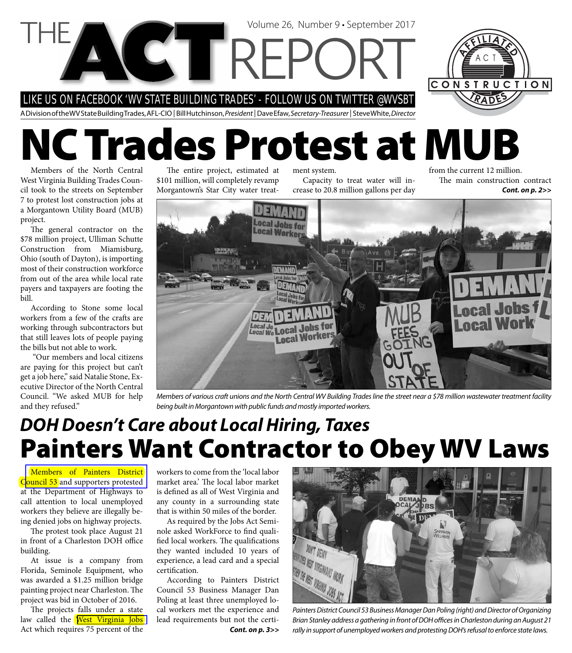LIKE US ON FACEBOOK 'WV STATE BUILDING TRADES' - FOLLOW US ON TWITTER @WVSBT

**CTTREP** 

A Division of the WV State Building Trades, AFL-CIO | Bill Hutchinson, President | Dave Efaw, Secretary-Treasurer | Steve White, Director

# **NC Trades Protest at MUB**

Members of the North Central West Virginia Building Trades Council took to the streets on September 7 to protest lost construction jobs at a Morgantown Utility Board (MUB) project.

The general contractor on the \$78 million project, Ulliman Schutte Construction from Miamisburg, Ohio (south of Dayton), is importing most of their construction workforce from out of the area while local rate payers and taxpayers are footing the bill.

According to Stone some local workers from a few of the crafts are working through subcontractors but that still leaves lots of people paying the bills but not able to work.

 "Our members and local citizens are paying for this project but can't get a job here," said Natalie Stone, Executive Director of the North Central Council. "We asked MUB for help and they refused."

The entire project, estimated at \$101 million, will completely revamp Morgantown's Star City water treatment system. Capacity to treat water will increase to 20.8 million gallons per day

Volume 26, Number 9 • September 2017

from the current 12 million. The main construction contract *Cont. on p. 2>>*



Members of various craft unions and the North Central WV Building Trades line the street near a \$78 million wastewater treatment facility being built in Morgantown with public funds and mostly imported workers.

### **Painters Want Contractor to Obey WV Laws** *DOH Doesn't Care about Local Hiring, Taxes*

Members of Painters District Council 53 and supporters protested at the Department of Highways to call attention to local unemployed workers they believe are illegally being denied jobs on highway projects.

The protest took place August 21 in front of a Charleston DOH office building.

At issue is a company from Florida, Seminole Equipment, who was awarded a \$1.25 million bridge painting project near Charleston. The project was bid in October of 2016.

The projects falls under a state law called the West Virginia Jobs Act which requires 75 percent of the

workers to come from the 'local labor market area.' The local labor market is defined as all of West Virginia and any county in a surrounding state that is within 50 miles of the border.

As required by the Jobs Act Seminole asked WorkForce to find qualified local workers. The qualifications they wanted included 10 years of experience, a lead card and a special certification.

According to Painters District Council 53 Business Manager Dan Poling at least three unemployed local workers met the experience and lead requirements but not the certi-*Cont. on p. 3>>*



Painters District Council 53 Business Manager Dan Poling (right) and Director of Organizing Brian Stanley address a gathering in front of DOH offices in Charleston during an August 21 rally in support of unemployed workers and protesting DOH's refusal to enforce state laws.

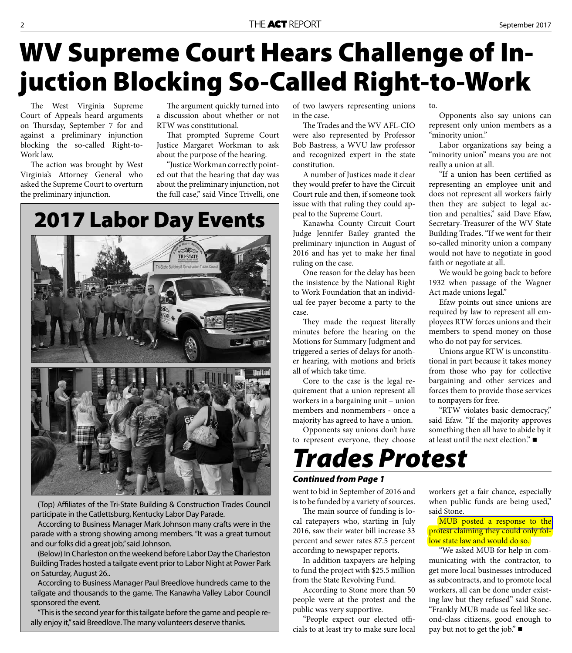# **WV Supreme Court Hears Challenge of Injuction Blocking So-Called Right-to-Work**

The West Virginia Supreme Court of Appeals heard arguments on Thursday, September 7 for and against a preliminary injunction blocking the so-called Right-to-Work law.

The action was brought by West Virginia's Attorney General who asked the Supreme Court to overturn the preliminary injunction.

The argument quickly turned into a discussion about whether or not RTW was constitutional.

That prompted Supreme Court Justice Margaret Workman to ask about the purpose of the hearing.

"Justice Workman correctly pointed out that the hearing that day was about the preliminary injunction, not the full case," said Vince Trivelli, one

**2017 Labor Day Events**Tri-State Building & Const

(Top) Affiliates of the Tri-State Building & Construction Trades Council participate in the Catlettsburg, Kentucky Labor Day Parade.

According to Business Manager Mark Johnson many crafts were in the parade with a strong showing among members. "It was a great turnout and our folks did a great job," said Johnson.

(Below) In Charleston on the weekend before Labor Day the Charleston Building Trades hosted a tailgate event prior to Labor Night at Power Park on Saturday, August 26..

According to Business Manager Paul Breedlove hundreds came to the tailgate and thousands to the game. The Kanawha Valley Labor Council sponsored the event.

"This is the second year for this tailgate before the game and people really enjoy it," said Breedlove. The many volunteers deserve thanks.

of two lawyers representing unions in the case.

The Trades and the WV AFL-CIO were also represented by Professor Bob Bastress, a WVU law professor and recognized expert in the state constitution.

A number of Justices made it clear they would prefer to have the Circuit Court rule and then, if someone took issue with that ruling they could appeal to the Supreme Court.

Kanawha County Circuit Court Judge Jennifer Bailey granted the preliminary injunction in August of 2016 and has yet to make her final ruling on the case.

One reason for the delay has been the insistence by the National Right to Work Foundation that an individual fee payer become a party to the case.

They made the request literally minutes before the hearing on the Motions for Summary Judgment and triggered a series of delays for another hearing, with motions and briefs all of which take time.

Core to the case is the legal requirement that a union represent all workers in a bargaining unit – union members and nonmembers - once a majority has agreed to have a union.

Opponents say unions don't have to represent everyone, they choose

*Trades Protest*

#### *Continued from Page 1*

went to bid in September of 2016 and is to be funded by a variety of sources.

The main source of funding is local ratepayers who, starting in July 2016, saw their water bill increase 33 percent and sewer rates 87.5 percent according to newspaper reports.

In addition taxpayers are helping to fund the project with \$25.5 million from the State Revolving Fund.

According to Stone more than 50 people were at the protest and the public was very supportive.

"People expect our elected officials to at least try to make sure local to.

Opponents also say unions can represent only union members as a "minority union."

Labor organizations say being a "minority union" means you are not really a union at all.

"If a union has been certified as representing an employee unit and does not represent all workers fairly then they are subject to legal action and penalties," said Dave Efaw, Secretary-Treasurer of the WV State Building Trades. "If we went for their so-called minority union a company would not have to negotiate in good faith or negotiate at all.

We would be going back to before 1932 when passage of the Wagner Act made unions legal."

Efaw points out since unions are required by law to represent all employees RTW forces unions and their members to spend money on those who do not pay for services.

Unions argue RTW is unconstitutional in part because it takes money from those who pay for collective bargaining and other services and forces them to provide those services to nonpayers for free.

"RTW violates basic democracy," said Efaw. "If the majority approves something then all have to abide by it at least until the next election."

workers get a fair chance, especially when public funds are being used," said Stone.

[MUB posted a response to the](https://www.mub.org/news/newsannouncements/statement-wastewater-treatment-plant-upgrade-contract)  protest claiming they could only follow state law and would do so.

"We asked MUB for help in communicating with the contractor, to get more local businesses introduced as subcontracts, and to promote local workers, all can be done under existing law but they refused" said Stone. "Frankly MUB made us feel like second-class citizens, good enough to pay but not to get the job." ■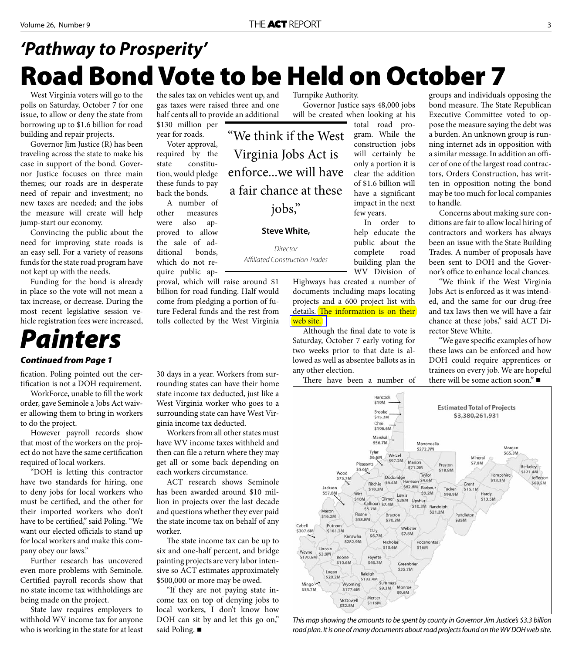## **Road Bond Vote to be Held on October 7** *'Pathway to Prosperity'*

West Virginia voters will go to the polls on Saturday, October 7 for one issue, to allow or deny the state from borrowing up to \$1.6 billion for road building and repair projects.

Governor Jim Justice (R) has been traveling across the state to make his case in support of the bond. Governor Justice focuses on three main themes; our roads are in desperate need of repair and investment; no new taxes are needed; and the jobs the measure will create will help jump-start our economy.

Convincing the public about the need for improving state roads is an easy sell. For a variety of reasons funds for the state road program have not kept up with the needs.

Funding for the bond is already in place so the vote will not mean a tax increase, or decrease. During the most recent legislative session vehicle registration fees were increased,

# *Painters*

#### *Continued from Page 1*

fication. Poling pointed out the certification is not a DOH requirement.

WorkForce, unable to fill the work order, gave Seminole a Jobs Act waiver allowing them to bring in workers to do the project.

However payroll records show that most of the workers on the project do not have the same certification required of local workers.

"DOH is letting this contractor have two standards for hiring, one to deny jobs for local workers who must be certified, and the other for their imported workers who don't have to be certified," said Poling. "We want our elected officials to stand up for local workers and make this company obey our laws."

Further research has uncovered even more problems with Seminole. Certified payroll records show that no state income tax withholdings are being made on the project.

State law requires employers to withhold WV income tax for anyone who is working in the state for at least the sales tax on vehicles went up, and gas taxes were raised three and one half cents all to provide an additional

\$130 million per year for roads. Voter approval, required by the state constitution, would pledge these funds to pay

back the bonds. A number of other measures were also approved to allow the sale of additional bonds, which do not require public ap-

proval, which will raise around \$1 billion for road funding. Half would come from pledging a portion of future Federal funds and the rest from tolls collected by the West Virginia

30 days in a year. Workers from surrounding states can have their home state income tax deducted, just like a West Virginia worker who goes to a surrounding state can have West Virginia income tax deducted.

Workers from all other states must have WV income taxes withheld and then can file a return where they may get all or some back depending on each workers circumstance.

ACT research shows Seminole has been awarded around \$10 million in projects over the last decade and questions whether they ever paid the state income tax on behalf of any worker.

The state income tax can be up to six and one-half percent, and bridge painting projects are very labor intensive so ACT estimates approximately \$500,000 or more may be owed.

"If they are not paying state income tax on top of denying jobs to local workers, I don't know how DOH can sit by and let this go on," said Poling. ■

Turnpike Authority.

Governor Justice says 48,000 jobs will be created when looking at his

"We think if the West Virginia Jobs Act is enforce...we will have a fair chance at these jobs,"

#### **Steve White,**

Director Affiliated Construction Trades total road program. While the construction jobs will certainly be only a portion it is clear the addition of \$1.6 billion will have a significant impact in the next few years.

In order to help educate the public about the complete road building plan the WV Division of

Highways has created a number of documents including maps locating projects and a 600 project list with details. The information is on their [web site.](http://www.transportation.wv.gov/Pages/default.aspx)

Although the final date to vote is Saturday, October 7 early voting for two weeks prior to that date is allowed as well as absentee ballots as in any other election.

There have been a number of

groups and individuals opposing the bond measure. The State Republican Executive Committee voted to oppose the measure saying the debt was a burden. An unknown group is running internet ads in opposition with a similar message. In addition an officer of one of the largest road contractors, Orders Construction, has written in opposition noting the bond may be too much for local companies to handle.

Concerns about making sure conditions are fair to allow local hiring of contractors and workers has always been an issue with the State Building Trades. A number of proposals have been sent to DOH and the Governor's office to enhance local chances.

"We think if the West Virginia Jobs Act is enforced as it was intended, and the same for our drug-free and tax laws then we will have a fair chance at these jobs," said ACT Director Steve White.

"We gave specific examples of how these laws can be enforced and how DOH could require apprentices or trainees on every job. We are hopeful there will be some action soon."



This map showing the amounts to be spent by county in Governor Jim Justice's \$3.3 billion road plan. It is one of many documents about road projects found on the WV DOH web site.